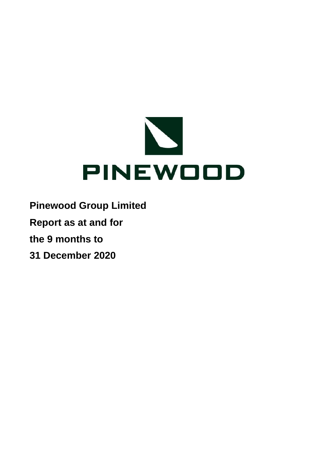

- **Pinewood Group Limited**
- **Report as at and for**
- **the 9 months to**
- **31 December 2020**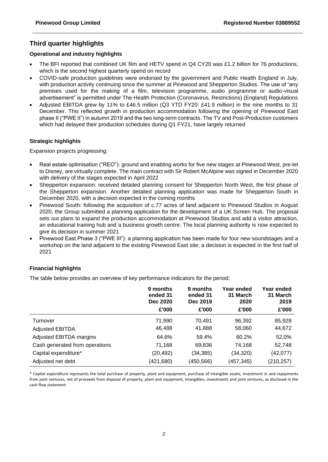## **Third quarter highlights**

## **Operational and industry highlights**

- The BFI reported that combined UK film and HETV spend in Q4 CY20 was £1.2 billion for 76 productions, which is the second highest quarterly spend on record
- COVID-safe production guidelines were endorsed by the government and Public Health England in July, with production activity continuing since the summer at Pinewood and Shepperton Studios. The use of "any premises used for the making of a film, television programme, audio programme or audio-visual advertisement" is permitted under The Health Protection (Coronavirus, Restrictions) (England) Regulations
- Adjusted EBITDA grew by 11% to £46.5 million (Q3 YTD FY20: £41.9 million) in the nine months to 31 December. This reflected growth in production accommodation following the opening of Pinewood East phase II ("PWE II") in autumn 2019 and the two long-term contracts. The TV and Post-Production customers which had delayed their production schedules during Q1 FY21, have largely returned

## **Strategic highlights**

Expansion projects progressing:

- Real estate optimisation ("REO"): ground and enabling works for five new stages at Pinewood West, pre-let to Disney, are virtually complete. The main contract with Sir Robert McAlpine was signed in December 2020 with delivery of the stages expected in April 2022
- Shepperton expansion: received detailed planning consent for Shepperton North West, the first phase of the Shepperton expansion. Another detailed planning application was made for Shepperton South in December 2020, with a decision expected in the coming months
- Pinewood South: following the acquisition of c.77 acres of land adjacent to Pinewood Studios in August 2020, the Group submitted a planning application for the development of a UK Screen Hub. The proposal sets out plans to expand the production accommodation at Pinewood Studios and add a visitor attraction, an educational training hub and a business growth centre. The local planning authority is now expected to give its decision in summer 2021
- Pinewood East Phase 3 ("PWE III"): a planning application has been made for four new soundstages and a workshop on the land adjacent to the existing Pinewood East site; a decision is expected in the first half of 2021

## **Financial highlights**

The table below provides an overview of key performance indicators for the period:

|                                | 9 months<br>ended 31<br>Dec 2020<br>£'000 | 9 months<br>ended 31<br>Dec 2019<br>£'000 | Year ended<br>31 March<br>2020<br>£'000 | Year ended<br>31 March<br>2019<br>£'000 |
|--------------------------------|-------------------------------------------|-------------------------------------------|-----------------------------------------|-----------------------------------------|
| Turnover                       | 71,990                                    | 70.491                                    | 96,392                                  | 85,928                                  |
| <b>Adjusted EBITDA</b>         | 46,488                                    | 41,888                                    | 58,060                                  | 44,672                                  |
| <b>Adjusted EBITDA margins</b> | 64.6%                                     | 59.4%                                     | 60.2%                                   | 52.0%                                   |
| Cash generated from operations | 71,168                                    | 69,836                                    | 74,168                                  | 52,748                                  |
| Capital expenditure*           | (20, 492)                                 | (34, 385)                                 | (34, 320)                               | (42,077)                                |
| Adjusted net debt              | (421, 680)                                | (450, 566)                                | (457, 345)                              | (210, 257)                              |

\* Capital expenditure represents the total purchase of property, plant and equipment, purchase of intangible assets, investment in and repayments from joint ventures, net of proceeds from disposal of property, plant and equipment, intangibles, investments and joint ventures, as disclosed in the cash flow statement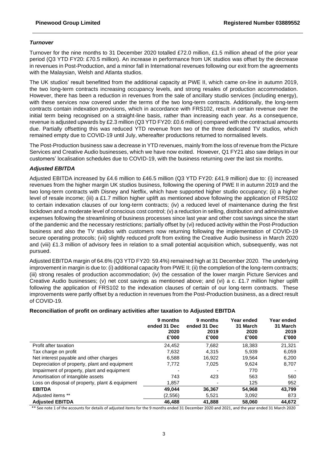## *Turnover*

Turnover for the nine months to 31 December 2020 totalled £72.0 million, £1.5 million ahead of the prior year period (Q3 YTD FY20: £70.5 million). An increase in performance from UK studios was offset by the decrease in revenues in Post-Production, and a minor fall in International revenues following our exit from the agreements with the Malaysian, Welsh and Atlanta studios.

The UK studios' result benefitted from the additional capacity at PWE II, which came on-line in autumn 2019, the two long-term contracts increasing occupancy levels, and strong resales of production accommodation. However, there has been a reduction in revenues from the sale of ancillary studio services (including energy), with these services now covered under the terms of the two long-term contracts. Additionally, the long-term contracts contain indexation provisions, which in accordance with FRS102, result in certain revenue over the initial term being recognised on a straight-line basis, rather than increasing each year. As a consequence, revenue is adjusted upwards by £2.3 million (Q3 YTD FY20: £0.6 million) compared with the contractual amounts due. Partially offsetting this was reduced YTD revenue from two of the three dedicated TV studios, which remained empty due to COVID-19 until July, whereafter productions returned to normalised levels.

The Post-Production business saw a decrease in YTD revenues, mainly from the loss of revenue from the Picture Services and Creative Audio businesses, which we have now exited. However, Q1 FY21 also saw delays in our customers' localisation schedules due to COVID-19, with the business returning over the last six months.

## *Adjusted EBITDA*

Adjusted EBITDA increased by £4.6 million to £46.5 million (Q3 YTD FY20: £41.9 million) due to: (i) increased revenues from the higher margin UK studios business, following the opening of PWE II in autumn 2019 and the two long-term contracts with Disney and Netflix, which have supported higher studio occupancy; (ii) a higher level of resale income; (iii) a £1.7 million higher uplift as mentioned above following the application of FRS102 to certain indexation clauses of our long-term contracts; (iv) a reduced level of maintenance during the first lockdown and a moderate level of conscious cost control; (v) a reduction in selling, distribution and administrative expenses following the streamlining of business processes since last year and other cost savings since the start of the pandemic and the necessary restrictions; partially offset by (vi) reduced activity within the Post-Production business and also the TV studios with customers now returning following the implementation of COVID-19 secure operating protocols; (vii) slightly reduced profit from exiting the Creative Audio business in March 2020 and (viii) £1.3 million of advisory fees in relation to a small potential acquisition which, subsequently, was not pursued.

Adjusted EBITDA margin of 64.6% (Q3 YTD FY20: 59.4%) remained high at 31 December 2020. The underlying improvement in margin is due to: (i) additional capacity from PWE II; (ii) the completion of the long-term contracts; (iii) strong resales of production accommodation; (iv) the cessation of the lower margin Picture Services and Creative Audio businesses; (v) net cost savings as mentioned above; and (vi) a c. £1.7 million higher uplift following the application of FRS102 to the indexation clauses of certain of our long-term contracts. These improvements were partly offset by a reduction in revenues from the Post-Production business, as a direct result of COVID-19.

## **Reconciliation of profit on ordinary activities after taxation to Adjusted EBITDA**

|                                                 | 9 months<br>ended 31 Dec<br>2020<br>£'000 | 9 months<br>ended 31 Dec<br>2019<br>£'000 | Year ended<br>31 March<br>2020<br>£'000 | Year ended<br>31 March<br>2019<br>£'000 |
|-------------------------------------------------|-------------------------------------------|-------------------------------------------|-----------------------------------------|-----------------------------------------|
| Profit after taxation                           | 24.452                                    | 7,682                                     | 18.383                                  | 21,321                                  |
| Tax charge on profit                            | 7,632                                     | 4.315                                     | 5,939                                   | 6,059                                   |
| Net interest payable and other charges          | 6,588                                     | 16.922                                    | 19,564                                  | 6,200                                   |
| Depreciation of property, plant and equipment   | 7,772                                     | 7,025                                     | 9,624                                   | 8,707                                   |
| Impairment of property, plant and equipment     |                                           |                                           | 770                                     |                                         |
| Amortisation of intangible assets               | 743                                       | 423                                       | 563                                     | 560                                     |
| Loss on disposal of property, plant & equipment | 1,857                                     |                                           | 125                                     | 952                                     |
| <b>EBITDA</b>                                   | 49,044                                    | 36,367                                    | 54,968                                  | 43.799                                  |
| Adjusted items **                               | (2,556)                                   | 5,521                                     | 3,092                                   | 873                                     |
| <b>Adiusted EBITDA</b>                          | 46.488                                    | 41,888                                    | 58,060                                  | 44,672                                  |

\*\* See note 1 of the accounts for details of adjusted items for the 9 months ended 31 December 2020 and 2021, and the year ended 31 March 2020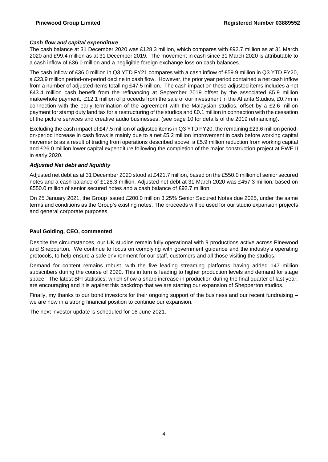## *Cash flow and capital expenditure*

The cash balance at 31 December 2020 was £128.3 million, which compares with £92.7 million as at 31 March 2020 and £99.4 million as at 31 December 2019. The movement in cash since 31 March 2020 is attributable to a cash inflow of £36.0 million and a negligible foreign exchange loss on cash balances.

The cash inflow of £36.0 million in Q3 YTD FY21 compares with a cash inflow of £59.9 million in Q3 YTD FY20, a £23.9 million period-on-period decline in cash flow. However, the prior year period contained a net cash inflow from a number of adjusted items totalling £47.5 million. The cash impact on these adjusted items includes a net £43.4 million cash benefit from the refinancing at September 2019 offset by the associated £5.9 million makewhole payment, £12.1 million of proceeds from the sale of our investment in the Atlanta Studios, £0.7m in connection with the early termination of the agreement with the Malaysian studios, offset by a £2.6 million payment for stamp duty land tax for a restructuring of the studios and £0.1 million in connection with the cessation of the picture services and creative audio businesses. (see page 10 for details of the 2019 refinancing).

Excluding the cash impact of £47.5 million of adjusted items in Q3 YTD FY20, the remaining £23.6 million periodon-period increase in cash flows is mainly due to a net £5.2 million improvement in cash before working capital movements as a result of trading from operations described above, a £5.9 million reduction from working capital and £26.0 million lower capital expenditure following the completion of the major construction project at PWE II in early 2020.

#### *Adjusted Net debt and liquidity*

Adjusted net debt as at 31 December 2020 stood at £421.7 million, based on the £550.0 million of senior secured notes and a cash balance of £128.3 million. Adjusted net debt at 31 March 2020 was £457.3 million, based on £550.0 million of senior secured notes and a cash balance of £92.7 million.

On 25 January 2021, the Group issued £200.0 million 3.25% Senior Secured Notes due 2025, under the same terms and conditions as the Group's existing notes. The proceeds will be used for our studio expansion projects and general corporate purposes.

## **Paul Golding, CEO, commented**

Despite the circumstances, our UK studios remain fully operational with 9 productions active across Pinewood and Shepperton. We continue to focus on complying with government guidance and the industry's operating protocols, to help ensure a safe environment for our staff, customers and all those visiting the studios.

Demand for content remains robust, with the five leading streaming platforms having added 147 million subscribers during the course of 2020. This in turn is leading to higher production levels and demand for stage space. The latest BFI statistics, which show a sharp increase in production during the final quarter of last year, are encouraging and it is against this backdrop that we are starting our expansion of Shepperton studios.

Finally, my thanks to our bond investors for their ongoing support of the business and our recent fundraising – we are now in a strong financial position to continue our expansion.

The next investor update is scheduled for 16 June 2021.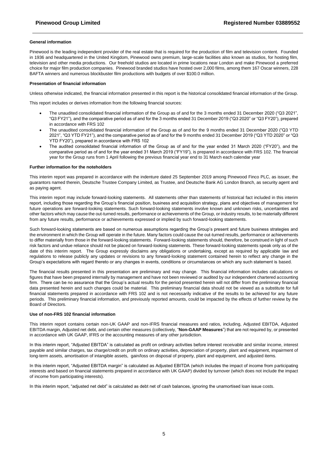#### **General information**

Pinewood is the leading independent provider of the real estate that is required for the production of film and television content. Founded in 1936 and headquartered in the United Kingdom, Pinewood owns premium, large-scale facilities also known as studios, for hosting film, television and other media productions. Our freehold studios are located in prime locations near London and make Pinewood a preferred choice for major film production companies. Pinewood branded studios have hosted over 2,000 films, among them 167 Oscar winners, 228 BAFTA winners and numerous blockbuster film productions with budgets of over \$100.0 million.

#### **Presentation of financial information**

Unless otherwise indicated, the financial information presented in this report is the historical consolidated financial information of the Group.

This report includes or derives information from the following financial sources:

- The unaudited consolidated financial information of the Group as of and for the 3 months ended 31 December 2020 ("Q3 2021", "Q3 FY21"), and the comparative period as of and for the 3 months ended 31 December 2019 ("Q3 2020" or "Q3 FY20"), prepared in accordance with FRS 102
- The unaudited consolidated financial information of the Group as of and for the 9 months ended 31 December 2020 ("Q3 YTD 2021", "Q3 YTD FY21"), and the comparative period as of and for the 9 months ended 31 December 2019 ("Q3 YTD 2020" or "Q3 YTD FY20"), prepared in accordance with FRS 102
- The audited consolidated financial information of the Group as of and for the year ended 31 March 2020 ("FY20"), and the comparative period as of and for the year ended 31 March 2019 ("FY19"), is prepared in accordance with FRS 102. The financial year for the Group runs from 1 April following the previous financial year end to 31 March each calendar year

#### **Further information for the noteholders**

This interim report was prepared in accordance with the indenture dated 25 September 2019 among Pinewood Finco PLC, as issuer, the guarantors named therein, Deutsche Trustee Company Limited, as Trustee, and Deutsche Bank AG London Branch, as security agent and as paying agent.

This interim report may include forward-looking statements. All statements other than statements of historical fact included in this interim report, including those regarding the Group's financial position, business and acquisition strategy, plans and objectives of management for future operations are forward-looking statements. Such forward-looking statements involve known and unknown risks, uncertainties and other factors which may cause the out-turned results, performance or achievements of the Group, or industry results, to be materially different from any future results, performance or achievements expressed or implied by such forward-looking statements.

Such forward-looking statements are based on numerous assumptions regarding the Group's present and future business strategies and the environment in which the Group will operate in the future. Many factors could cause the out-turned results, performance or achievements to differ materially from those in the forward-looking statements. Forward-looking statements should, therefore, be construed in light of such risk factors and undue reliance should not be placed on forward-looking statements. These forward-looking statements speak only as of the date of this interim report. The Group expressly disclaims any obligations or undertaking, except as required by applicable law and regulations to release publicly any updates or revisions to any forward-looking statement contained herein to reflect any change in the Group's expectations with regard thereto or any changes in events, conditions or circumstances on which any such statement is based.

The financial results presented in this presentation are preliminary and may change. This financial information includes calculations or figures that have been prepared internally by management and have not been reviewed or audited by our independent chartered accounting firm. There can be no assurance that the Group's actual results for the period presented herein will not differ from the preliminary financial data presented herein and such changes could be material. This preliminary financial data should not be viewed as a substitute for full financial statements prepared in accordance with FRS 102 and is not necessarily indicative of the results to be achieved for any future periods. This preliminary financial information, and previously reported amounts, could be impacted by the effects of further review by the Board of Directors.

#### **Use of non-FRS 102 financial information**

This interim report contains certain non-UK GAAP and non-IFRS financial measures and ratios, including, Adjusted EBITDA, Adjusted EBITDA margin, Adjusted net debt, and certain other measures (collectively, "**Non-GAAP Measures**") that are not required by, or presented in accordance with UK GAAP, IFRS or the accounting measures of any other jurisdiction.

In this interim report, "Adjusted EBITDA" is calculated as profit on ordinary activities before interest receivable and similar income, interest payable and similar charges, tax charge/credit on profit on ordinary activities, depreciation of property, plant and equipment, impairment of long-term assets, amortisation of intangible assets, gain/loss on disposal of property, plant and equipment, and adjusted items.

In this interim report, "Adjusted EBITDA margin" is calculated as Adjusted EBITDA (which includes the impact of income from participating interests and based on financial statements prepared in accordance with UK GAAP) divided by turnover (which does not include the impact of income from participating interests).

In this interim report, "adjusted net debt" is calculated as debt net of cash balances, ignoring the unamortised loan issue costs.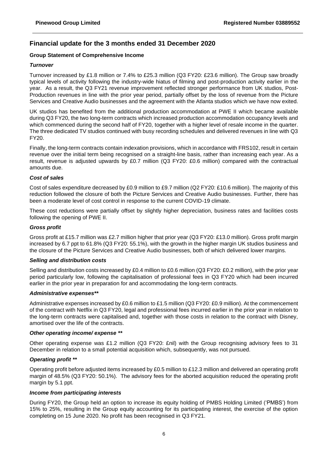## **Financial update for the 3 months ended 31 December 2020**

## **Group Statement of Comprehensive Income**

## *Turnover*

Turnover increased by £1.8 million or 7.4% to £25.3 million (Q3 FY20: £23.6 million). The Group saw broadly typical levels of activity following the industry-wide hiatus of filming and post-production activity earlier in the year. As a result, the Q3 FY21 revenue improvement reflected stronger performance from UK studios, Post-Production revenues in line with the prior year period, partially offset by the loss of revenue from the Picture Services and Creative Audio businesses and the agreement with the Atlanta studios which we have now exited.

UK studios has benefited from the additional production accommodation at PWE II which became available during Q3 FY20, the two long-term contracts which increased production accommodation occupancy levels and which commenced during the second half of FY20, together with a higher level of resale income in the quarter. The three dedicated TV studios continued with busy recording schedules and delivered revenues in line with Q3 FY20.

Finally, the long-term contracts contain indexation provisions, which in accordance with FRS102, result in certain revenue over the initial term being recognised on a straight-line basis, rather than increasing each year. As a result, revenue is adjusted upwards by £0.7 million (Q3 FY20: £0.6 million) compared with the contractual amounts due.

## *Cost of sales*

Cost of sales expenditure decreased by £0.9 million to £9.7 million (Q2 FY20: £10.6 million). The majority of this reduction followed the closure of both the Picture Services and Creative Audio businesses. Further, there has been a moderate level of cost control in response to the current COVID-19 climate.

These cost reductions were partially offset by slightly higher depreciation, business rates and facilities costs following the opening of PWE II.

## *Gross profit*

Gross profit at £15.7 million was £2.7 million higher that prior year (Q3 FY20: £13.0 million). Gross profit margin increased by 6.7 ppt to 61.8% (Q3 FY20: 55.1%), with the growth in the higher margin UK studios business and the closure of the Picture Services and Creative Audio businesses, both of which delivered lower margins.

## *Selling and distribution costs*

Selling and distribution costs increased by £0.4 million to £0.6 million (Q3 FY20: £0.2 million), with the prior year period particularly low, following the capitalisation of professional fees in Q3 FY20 which had been incurred earlier in the prior year in preparation for and accommodating the long-term contracts.

## *Administrative expenses\*\**

Administrative expenses increased by £0.6 million to £1.5 million (Q3 FY20: £0.9 million). At the commencement of the contract with Netflix in Q3 FY20, legal and professional fees incurred earlier in the prior year in relation to the long-term contracts were capitalised and, together with those costs in relation to the contract with Disney, amortised over the life of the contracts.

## *Other operating income/ expense \*\**

Other operating expense was £1.2 million (Q3 FY20: £nil) with the Group recognising advisory fees to 31 December in relation to a small potential acquisition which, subsequently, was not pursued.

## *Operating profit \*\**

Operating profit before adjusted items increased by £0.5 million to £12.3 million and delivered an operating profit margin of 48.5% (Q3 FY20: 50.1%). The advisory fees for the aborted acquisition reduced the operating profit margin by 5.1 ppt.

#### *Income from participating interests*

During FY20, the Group held an option to increase its equity holding of PMBS Holding Limited ('PMBS') from 15% to 25%, resulting in the Group equity accounting for its participating interest, the exercise of the option completing on 15 June 2020. No profit has been recognised in Q3 FY21.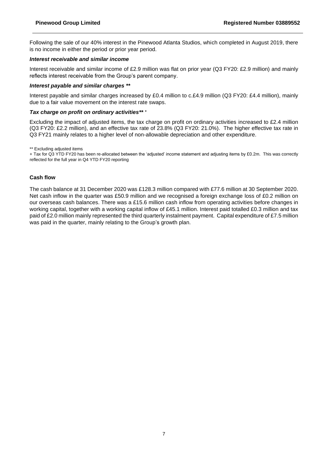Following the sale of our 40% interest in the Pinewood Atlanta Studios, which completed in August 2019, there is no income in either the period or prior year period.

## *Interest receivable and similar income*

Interest receivable and similar income of £2.9 million was flat on prior year (Q3 FY20: £2.9 million) and mainly reflects interest receivable from the Group's parent company.

## *Interest payable and similar charges \*\**

Interest payable and similar charges increased by £0.4 million to c.£4.9 million (Q3 FY20: £4.4 million), mainly due to a fair value movement on the interest rate swaps.

#### *Tax charge on profit on ordinary activities\*\* +*

Excluding the impact of adjusted items, the tax charge on profit on ordinary activities increased to £2.4 million (Q3 FY20: £2.2 million), and an effective tax rate of 23.8% (Q3 FY20: 21.0%). The higher effective tax rate in Q3 FY21 mainly relates to a higher level of non-allowable depreciation and other expenditure.

\*\* Excluding adjusted items

+ Tax for Q3 YTD FY20 has been re-allocated between the 'adjusted' income statement and adjusting items by £0.2m. This was correctly reflected for the full year in Q4 YTD FY20 reporting

#### **Cash flow**

The cash balance at 31 December 2020 was £128.3 million compared with £77.6 million at 30 September 2020. Net cash inflow in the quarter was £50.9 million and we recognised a foreign exchange loss of £0.2 million on our overseas cash balances. There was a £15.6 million cash inflow from operating activities before changes in working capital, together with a working capital inflow of £45.1 million. Interest paid totalled £0.3 million and tax paid of £2.0 million mainly represented the third quarterly instalment payment. Capital expenditure of £7.5 million was paid in the quarter, mainly relating to the Group's growth plan.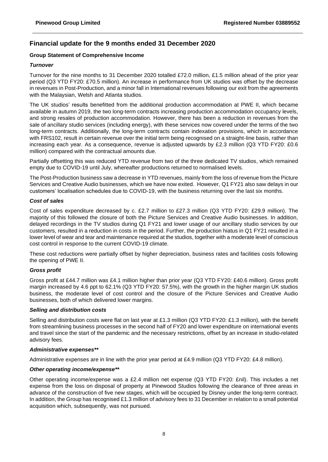## **Financial update for the 9 months ended 31 December 2020**

## **Group Statement of Comprehensive Income**

## *Turnover*

Turnover for the nine months to 31 December 2020 totalled £72.0 million, £1.5 million ahead of the prior year period (Q3 YTD FY20: £70.5 million). An increase in performance from UK studios was offset by the decrease in revenues in Post-Production, and a minor fall in International revenues following our exit from the agreements with the Malaysian, Welsh and Atlanta studios.

The UK studios' results benefitted from the additional production accommodation at PWE II, which became available in autumn 2019, the two long-term contracts increasing production accommodation occupancy levels, and strong resales of production accommodation. However, there has been a reduction in revenues from the sale of ancillary studio services (including energy), with these services now covered under the terms of the two long-term contracts. Additionally, the long-term contracts contain indexation provisions, which in accordance with FRS102, result in certain revenue over the initial term being recognised on a straight-line basis, rather than increasing each year. As a consequence, revenue is adjusted upwards by £2.3 million (Q3 YTD FY20: £0.6 million) compared with the contractual amounts due.

Partially offsetting this was reduced YTD revenue from two of the three dedicated TV studios, which remained empty due to COVID-19 until July, whereafter productions returned to normalised levels.

The Post-Production business saw a decrease in YTD revenues, mainly from the loss of revenue from the Picture Services and Creative Audio businesses, which we have now exited. However, Q1 FY21 also saw delays in our customers' localisation schedules due to COVID-19, with the business returning over the last six months.

## *Cost of sales*

Cost of sales expenditure decreased by c. £2.7 million to £27.3 million (Q3 YTD FY20: £29.9 million). The majority of this followed the closure of both the Picture Services and Creative Audio businesses. In addition, delayed recordings in the TV studios during Q1 FY21 and lower usage of our ancillary studio services by our customers, resulted in a reduction in costs in the period. Further, the production hiatus in Q1 FY21 resulted in a lower level of wear and tear and maintenance required at the studios, together with a moderate level of conscious cost control in response to the current COVID-19 climate.

These cost reductions were partially offset by higher depreciation, business rates and facilities costs following the opening of PWE II.

## *Gross profit*

Gross profit at £44.7 million was £4.1 million higher than prior year (Q3 YTD FY20: £40.6 million). Gross profit margin increased by 4.6 ppt to 62.1% (Q3 YTD FY20: 57.5%), with the growth in the higher margin UK studios business, the moderate level of cost control and the closure of the Picture Services and Creative Audio businesses, both of which delivered lower margins.

#### *Selling and distribution costs*

Selling and distribution costs were flat on last year at £1.3 million (Q3 YTD FY20: £1.3 million), with the benefit from streamlining business processes in the second half of FY20 and lower expenditure on international events and travel since the start of the pandemic and the necessary restrictions, offset by an increase in studio-related advisory fees.

#### *Administrative expenses\*\**

Administrative expenses are in line with the prior year period at £4.9 million (Q3 YTD FY20: £4.8 million).

## *Other operating income/expense\*\**

Other operating income/expense was a £2.4 million net expense (Q3 YTD FY20: £nil). This includes a net expense from the loss on disposal of property at Pinewood Studios following the clearance of three areas in advance of the construction of five new stages, which will be occupied by Disney under the long-term contract. In addition, the Group has recognised £1.3 million of advisory fees to 31 December in relation to a small potential acquisition which, subsequently, was not pursued.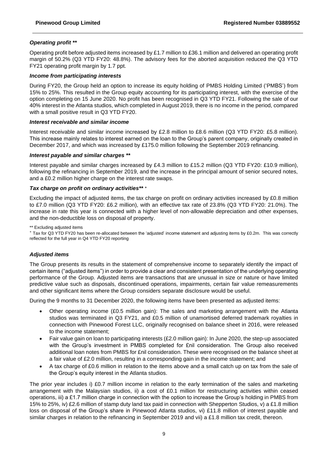## *Operating profit \*\**

Operating profit before adjusted items increased by £1.7 million to £36.1 million and delivered an operating profit margin of 50.2% (Q3 YTD FY20: 48.8%). The advisory fees for the aborted acquisition reduced the Q3 YTD FY21 operating profit margin by 1.7 ppt.

#### *Income from participating interests*

During FY20, the Group held an option to increase its equity holding of PMBS Holding Limited ('PMBS') from 15% to 25%. This resulted in the Group equity accounting for its participating interest, with the exercise of the option completing on 15 June 2020. No profit has been recognised in Q3 YTD FY21. Following the sale of our 40% interest in the Atlanta studios, which completed in August 2019, there is no income in the period, compared with a small positive result in Q3 YTD FY20.

#### *Interest receivable and similar income*

Interest receivable and similar income increased by £2.8 million to £8.6 million (Q3 YTD FY20: £5.8 million). This increase mainly relates to interest earned on the loan to the Group's parent company, originally created in December 2017, and which was increased by £175.0 million following the September 2019 refinancing.

#### *Interest payable and similar charges \*\**

Interest payable and similar charges increased by £4.3 million to £15.2 million (Q3 YTD FY20: £10.9 million), following the refinancing in September 2019, and the increase in the principal amount of senior secured notes, and a £0.2 million higher charge on the interest rate swaps.

#### *Tax charge on profit on ordinary activities\*\* <sup>+</sup>*

Excluding the impact of adjusted items, the tax charge on profit on ordinary activities increased by £0.8 million to £7.0 million (Q3 YTD FY20: £6.2 million), with an effective tax rate of 23.8% (Q3 YTD FY20: 21.0%). The increase in rate this year is connected with a higher level of non-allowable depreciation and other expenses, and the non-deductible loss on disposal of property.

\*\* Excluding adjusted items

<sup>+</sup> Tax for Q3 YTD FY20 has been re-allocated between the 'adjusted' income statement and adjusting items by £0.2m. This was correctly reflected for the full year in Q4 YTD FY20 reporting

## *Adjusted items*

The Group presents its results in the statement of comprehensive income to separately identify the impact of certain items ("adjusted items") in order to provide a clear and consistent presentation of the underlying operating performance of the Group. Adjusted items are transactions that are unusual in size or nature or have limited predictive value such as disposals, discontinued operations, impairments, certain fair value remeasurements and other significant items where the Group considers separate disclosure would be useful.

During the 9 months to 31 December 2020, the following items have been presented as adjusted items:

- Other operating income (£0.5 million gain): The sales and marketing arrangement with the Atlanta studios was terminated in Q3 FY21, and £0.5 million of unamortised deferred trademark royalties in connection with Pinewood Forest LLC, originally recognised on balance sheet in 2016, were released to the income statement;
- Fair value gain on loan to participating interests (£2.0 million gain): In June 2020, the step-up associated with the Group's investment in PMBS completed for £nil consideration. The Group also received additional loan notes from PMBS for £nil consideration. These were recognised on the balance sheet at a fair value of £2.0 million, resulting in a corresponding gain in the income statement; and
- A tax charge of £0.6 million in relation to the items above and a small catch up on tax from the sale of the Group's equity interest in the Atlanta studios.

The prior year includes i) £0.7 million income in relation to the early termination of the sales and marketing arrangement with the Malaysian studios, ii) a cost of £0.1 million for restructuring activities within ceased operations, iii) a £1.7 million charge in connection with the option to increase the Group's holding in PMBS from 15% to 25%, iv) £2.6 million of stamp duty land tax paid in connection with Shepperton Studios, v) a £1.8 million loss on disposal of the Group's share in Pinewood Atlanta studios, vi) £11.8 million of interest payable and similar charges in relation to the refinancing in September 2019 and vii) a £1.8 million tax credit, thereon.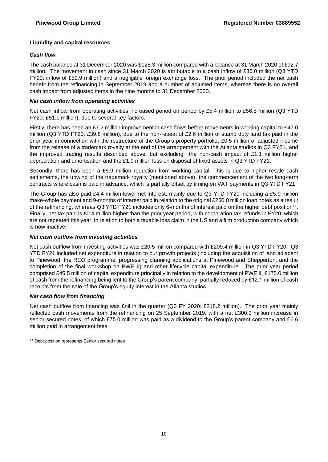## **Liquidity and capital resources**

## *Cash flow*

The cash balance at 31 December 2020 was £128.3 million compared with a balance at 31 March 2020 of £92.7 million. The movement in cash since 31 March 2020 is attributable to a cash inflow of £36.0 million (Q3 YTD FY20: inflow of £59.9 million) and a negligible foreign exchange loss. The prior period included the net cash benefit from the refinancing in September 2019 and a number of adjusted items, whereas there is no overall cash impact from adjusted items in the nine months to 31 December 2020.

## *Net cash inflow from operating activities*

Net cash inflow from operating activities increased period on period by £5.4 million to £56.5 million (Q3 YTD FY20: £51.1 million), due to several key factors.

Firstly, there has been an £7.2 million improvement in cash flows before movements in working capital to £47.0 million (Q3 YTD FT20: £39.8 million), due to the non-repeat of £2.6 million of stamp duty land tax paid in the prior year in connection with the restructure of the Group's property portfolio, £0.5 million of adjusted income from the release of a trademark royalty at the end of the arrangement with the Atlanta studios in Q3 FY21, and the improved trading results described above, but excluding the non-cash impact of £1.1 million higher depreciation and amortisation and the £1.9 million loss on disposal of fixed assets in Q3 YTD FY21.

Secondly, there has been a £5.9 million reduction from working capital. This is due to higher resale cash settlements, the unwind of the trademark royalty (mentioned above), the commencement of the two long-term contracts where cash is paid in advance, which is partially offset by timing on VAT payments in Q3 YTD FY21.

The Group has also paid £4.4 million lower net interest, mainly due to Q3 YTD FY20 including a £5.9 million make-whole payment and 9-months of interest paid in relation to the original £250.0 million loan notes as a result of the refinancing, whereas Q3 YTD FY21 includes only 6-months of interest paid on the higher debt position++ . Finally, net tax paid is £0.4 million higher than the prior year period, with corporation tax refunds in FY20, which are not repeated this year, in relation to both a taxable loss claim in the US and a film production company which is now inactive.

## *Net cash outflow from investing activities*

Net cash outflow from investing activities was £20.5 million compared with £209.4 million in Q3 YTD FY20. Q3 YTD FY21 included net expenditure in relation to our growth projects (including the acquisition of land adjacent to Pinewood, the REO programme, progressing planning applications at Pinewood and Shepperton, and the completion of the final workshop on PWE II) and other lifecycle capital expenditure. The prior year period comprised £46.5 million of capital expenditure principally in relation to the development of PWE II, £175.0 million of cash from the refinancing being lent to the Group's parent company, partially reduced by £12.1 million of cash receipts from the sale of the Group's equity interest in the Atlanta studios.

#### *Net cash flow from financing*

Net cash outflow from financing was £nil in the quarter (Q3 FY 2020: £218.2 million). The prior year mainly reflected cash movements from the refinancing on 25 September 2019, with a net £300.0 million increase in senior secured notes, of which £75.0 million was paid as a dividend to the Group's parent company and £6.6 million paid in arrangement fees.

++ Debt position represents Senior secured notes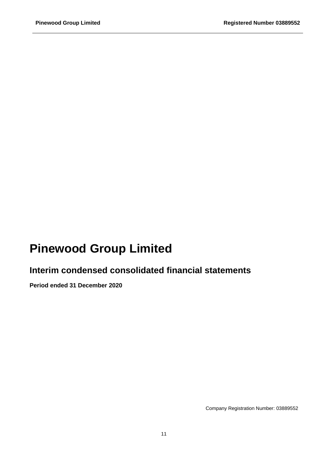# **Pinewood Group Limited**

# **Interim condensed consolidated financial statements**

**Period ended 31 December 2020**

Company Registration Number: 03889552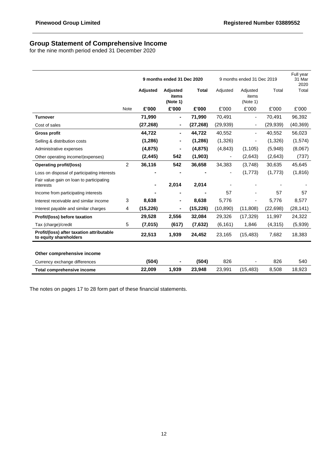## **Group Statement of Comprehensive Income**

for the nine month period ended 31 December 2020

|                                                                     |                |           | 9 months ended 31 Dec 2020    |              |                          | 9 months ended 31 Dec 2019    |           | Full year<br>31 Mar<br>2020 |
|---------------------------------------------------------------------|----------------|-----------|-------------------------------|--------------|--------------------------|-------------------------------|-----------|-----------------------------|
|                                                                     |                | Adjusted  | Adjusted<br>items<br>(Note 1) | <b>Total</b> | Adjusted                 | Adjusted<br>items<br>(Note 1) | Total     | Total                       |
|                                                                     | Note           | £'000     | £'000                         | £'000        | £'000                    | £'000                         | £'000     | £'000                       |
| <b>Turnover</b>                                                     |                | 71,990    | $\blacksquare$                | 71,990       | 70,491                   | $\blacksquare$                | 70,491    | 96,392                      |
| Cost of sales                                                       |                | (27, 268) | ۰                             | (27, 268)    | (29, 939)                | $\overline{\phantom{a}}$      | (29, 939) | (40, 369)                   |
| <b>Gross profit</b>                                                 |                | 44,722    | ٠                             | 44,722       | 40,552                   | $\blacksquare$                | 40,552    | 56,023                      |
| Selling & distribution costs                                        |                | (1,286)   |                               | (1,286)      | (1,326)                  | -                             | (1,326)   | (1,574)                     |
| Administrative expenses                                             |                | (4, 875)  | $\blacksquare$                | (4, 875)     | (4,843)                  | (1, 105)                      | (5,948)   | (8,067)                     |
| Other operating income/(expenses)                                   |                | (2, 445)  | 542                           | (1,903)      | $\blacksquare$           | (2,643)                       | (2,643)   | (737)                       |
| Operating profit/(loss)                                             | $\overline{2}$ | 36,116    | 542                           | 36,658       | 34,383                   | (3,748)                       | 30,635    | 45,645                      |
| Loss on disposal of participating interests                         |                |           |                               |              | $\overline{\phantom{a}}$ | (1,773)                       | (1,773)   | (1,816)                     |
| Fair value gain on loan to participating<br>interests               |                |           | 2,014                         | 2,014        |                          |                               |           |                             |
| Income from participating interests                                 |                |           |                               |              | 57                       |                               | 57        | 57                          |
| Interest receivable and similar income                              | 3              | 8,638     |                               | 8,638        | 5,776                    |                               | 5,776     | 8,577                       |
| Interest payable and similar charges                                | 4              | (15, 226) |                               | (15, 226)    | (10, 890)                | (11,808)                      | (22, 698) | (28, 141)                   |
| Profit/(loss) before taxation                                       |                | 29,528    | 2,556                         | 32,084       | 29,326                   | (17, 329)                     | 11,997    | 24,322                      |
| Tax (charge)/credit                                                 | 5              | (7,015)   | (617)                         | (7,632)      | (6, 161)                 | 1,846                         | (4, 315)  | (5,939)                     |
| Profit/(loss) after taxation attributable<br>to equity shareholders |                | 22,513    | 1,939                         | 24,452       | 23,165                   | (15, 483)                     | 7,682     | 18,383                      |
| Other comprehensive income                                          |                |           |                               |              |                          |                               |           |                             |
| Currency exchange differences                                       |                | (504)     |                               | (504)        | 826                      |                               | 826       | 540                         |
| <b>Total comprehensive income</b>                                   |                | 22,009    | 1,939                         | 23,948       | 23,991                   | (15, 483)                     | 8,508     | 18,923                      |

The notes on pages 17 to 28 form part of these financial statements.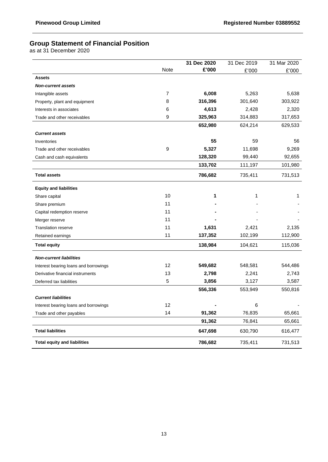## **Group Statement of Financial Position**

as at 31 December 2020

|                                       |                | 31 Dec 2020 | 31 Dec 2019 | 31 Mar 2020 |
|---------------------------------------|----------------|-------------|-------------|-------------|
|                                       | Note           | £'000       | £'000       | £'000       |
| <b>Assets</b>                         |                |             |             |             |
| <b>Non-current assets</b>             |                |             |             |             |
| Intangible assets                     | $\overline{7}$ | 6,008       | 5,263       | 5,638       |
| Property, plant and equipment         | 8              | 316,396     | 301,640     | 303,922     |
| Interests in associates               | 6              | 4,613       | 2,428       | 2,320       |
| Trade and other receivables           | 9              | 325,963     | 314,883     | 317,653     |
|                                       |                | 652,980     | 624,214     | 629,533     |
| <b>Current assets</b>                 |                |             |             |             |
| Inventories                           |                | 55          | 59          | 56          |
| Trade and other receivables           | 9              | 5,327       | 11,698      | 9,269       |
| Cash and cash equivalents             |                | 128,320     | 99,440      | 92,655      |
|                                       |                | 133,702     | 111,197     | 101,980     |
| <b>Total assets</b>                   |                | 786,682     | 735,411     | 731,513     |
| <b>Equity and liabilities</b>         |                |             |             |             |
| Share capital                         | 10             | 1           | 1           | 1           |
| Share premium                         | 11             |             |             |             |
| Capital redemption reserve            | 11             |             |             |             |
| Merger reserve                        | 11             |             |             |             |
| <b>Translation reserve</b>            | 11             | 1,631       | 2,421       | 2,135       |
| Retained earnings                     | 11             | 137,352     | 102,199     | 112,900     |
| <b>Total equity</b>                   |                | 138,984     | 104,621     | 115,036     |
| <b>Non-current liabilities</b>        |                |             |             |             |
| Interest bearing loans and borrowings | 12             | 549,682     | 548,581     | 544,486     |
| Derivative financial instruments      | 13             | 2,798       | 2,241       | 2,743       |
| Deferred tax liabilities              | 5              | 3,856       | 3,127       | 3,587       |
|                                       |                | 556,336     | 553,949     | 550,816     |
| <b>Current liabilities</b>            |                |             |             |             |
| Interest bearing loans and borrowings | 12             |             | 6           |             |
| Trade and other payables              | 14             | 91,362      | 76,835      | 65,661      |
|                                       |                | 91,362      | 76,841      | 65,661      |
| <b>Total liabilities</b>              |                | 647,698     | 630,790     | 616,477     |
| <b>Total equity and liabilities</b>   |                | 786,682     | 735,411     | 731,513     |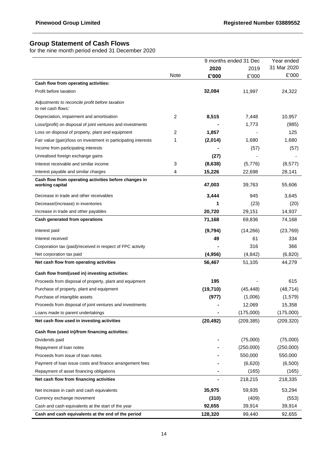## **Group Statement of Cash Flows**

for the nine month period ended 31 December 2020

|                                                                          |                |           | 9 months ended 31 Dec | Year ended  |
|--------------------------------------------------------------------------|----------------|-----------|-----------------------|-------------|
|                                                                          |                | 2020      | 2019                  | 31 Mar 2020 |
|                                                                          | <b>Note</b>    | £'000     | £'000                 | £'000       |
| Cash flow from operating activities:                                     |                |           |                       |             |
| Profit before taxation                                                   |                | 32,084    | 11,997                | 24,322      |
| Adjustments to reconcile profit before taxation<br>to net cash flows:    |                |           |                       |             |
| Depreciation, impairment and amortisation                                | $\overline{c}$ | 8,515     | 7,448                 | 10,957      |
| Loss/(profit) on disposal of joint ventures and investments              |                |           | 1,773                 | (985)       |
| Loss on disposal of property, plant and equipment                        | 2              | 1,857     |                       | 125         |
| Fair value (gain)/loss on investment in participating interests          | 1              | (2,014)   | 1,680                 | 1,680       |
| Income from participating interests                                      |                |           | (57)                  | (57)        |
| Unrealised foreign exchange gains                                        |                | (27)      |                       |             |
| Interest receivable and similar income                                   | 3              | (8,638)   | (5,776)               | (8, 577)    |
| Interest payable and similar charges                                     | 4              | 15,226    | 22,698                | 28,141      |
| Cash flow from operating activities before changes in<br>working capital |                | 47,003    | 39,763                | 55,606      |
| Decrease in trade and other receivables                                  |                | 3,444     | 945                   | 3,645       |
| Decrease/(increase) in inventories                                       |                | 1         | (23)                  | (20)        |
| Increase in trade and other payables                                     |                | 20,720    | 29,151                | 14,937      |
| Cash generated from operations                                           |                | 71,168    | 69,836                | 74,168      |
| Interest paid                                                            |                | (9,794)   | (14,266)              | (23, 769)   |
| Interest received                                                        |                | 49        | 61                    | 334         |
| Corporation tax (paid)/received in respect of FPC activity               |                |           | 316                   | 366         |
| Net corporation tax paid                                                 |                | (4,956)   | (4, 842)              | (6,820)     |
| Net cash flow from operating activities                                  |                | 56,467    | 51,105                | 44,279      |
| Cash flow from/(used in) investing activities:                           |                |           |                       |             |
| Proceeds from disposal of property, plant and equipment                  |                | 195       |                       | 615         |
| Purchase of property, plant and equipment                                |                | (19, 710) | (45, 448)             | (48, 714)   |
| Purchase of intangible assets                                            |                | (977)     | (1,006)               | (1,579)     |
| Proceeds from disposal of joint ventures and investments                 |                |           | 12,069                | 15,358      |
| Loans made to parent undertakings                                        |                |           | (175,000)             | (175,000)   |
| Net cash flow used in investing activities                               |                | (20, 492) | (209, 385)            | (209, 320)  |
| Cash flow (used in)/from financing activities:                           |                |           |                       |             |
| Dividends paid                                                           |                |           | (75,000)              | (75,000)    |
| Repayment of loan notes                                                  |                |           | (250,000)             | (250,000)   |
| Proceeds from issue of loan notes                                        |                |           | 550,000               | 550,000     |
| Payment of loan issue costs and finance arrangement fees                 |                |           | (6,620)               | (6,500)     |
| Repayment of asset financing obligations                                 |                |           | (165)                 | (165)       |
| Net cash flow from financing activities                                  |                |           | 218,215               | 218,335     |
| Net increase in cash and cash equivalents                                |                | 35,975    | 59,935                | 53,294      |
| Currency exchange movement                                               |                | (310)     | (409)                 | (553)       |
| Cash and cash equivalents at the start of the year                       |                | 92,655    | 39,914                | 39,914      |
| Cash and cash equivalents at the end of the period                       |                | 128,320   | 99,440                | 92,655      |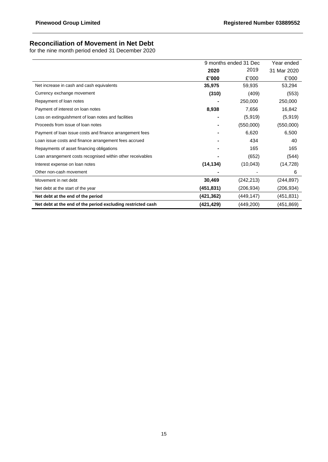## **Reconciliation of Movement in Net Debt**

for the nine month period ended 31 December 2020

|                                                             |            | 9 months ended 31 Dec | Year ended  |
|-------------------------------------------------------------|------------|-----------------------|-------------|
|                                                             | 2020       | 2019                  | 31 Mar 2020 |
|                                                             | £'000      | £'000                 | £'000       |
| Net increase in cash and cash equivalents                   | 35,975     | 59,935                | 53,294      |
| Currency exchange movement                                  | (310)      | (409)                 | (553)       |
| Repayment of loan notes                                     |            | 250,000               | 250,000     |
| Payment of interest on loan notes                           | 8,938      | 7,656                 | 16,842      |
| Loss on extinguishment of loan notes and facilities         |            | (5,919)               | (5,919)     |
| Proceeds from issue of loan notes                           |            | (550,000)             | (550,000)   |
| Payment of loan issue costs and finance arrangement fees    |            | 6,620                 | 6,500       |
| Loan issue costs and finance arrangement fees accrued       |            | 434                   | 40          |
| Repayments of asset financing obligations                   |            | 165                   | 165         |
| Loan arrangement costs recognised within other receivables  |            | (652)                 | (544)       |
| Interest expense on loan notes                              | (14, 134)  | (10, 043)             | (14, 728)   |
| Other non-cash movement                                     |            |                       | 6           |
| Movement in net debt                                        | 30,469     | (242, 213)            | (244, 897)  |
| Net debt at the start of the year                           | (451,831)  | (206,934)             | (206,934)   |
| Net debt at the end of the period                           | (421,362)  | (449, 147)            | (451, 831)  |
| Net debt at the end of the period excluding restricted cash | (421, 429) | (449, 200)            | (451, 869)  |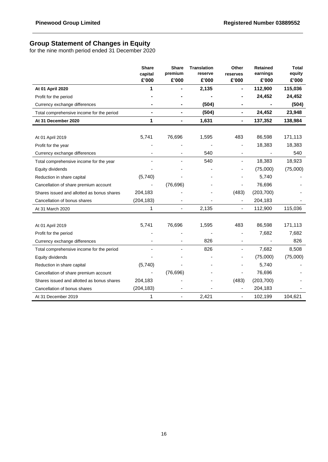## **Group Statement of Changes in Equity**

for the nine month period ended 31 December 2020

|                                            | <b>Share</b><br>capital | <b>Share</b><br>premium | <b>Translation</b><br>reserve | Other<br>reserves            | <b>Retained</b><br>earnings | <b>Total</b><br>equity |
|--------------------------------------------|-------------------------|-------------------------|-------------------------------|------------------------------|-----------------------------|------------------------|
|                                            | £'000                   | £'000                   | £'000                         | £'000                        | £'000                       | £'000                  |
| At 01 April 2020                           | 1                       |                         | 2,135                         |                              | 112,900                     | 115,036                |
| Profit for the period                      |                         |                         |                               | -                            | 24,452                      | 24,452                 |
| Currency exchange differences              |                         |                         | (504)                         | $\blacksquare$               |                             | (504)                  |
| Total comprehensive income for the period  |                         | $\blacksquare$          | (504)                         | $\qquad \qquad \blacksquare$ | 24,452                      | 23,948                 |
| At 31 December 2020                        | 1                       |                         | 1,631                         | $\blacksquare$               | 137,352                     | 138,984                |
|                                            |                         |                         |                               |                              |                             |                        |
| At 01 April 2019                           | 5,741                   | 76,696                  | 1,595                         | 483                          | 86,598                      | 171,113                |
| Profit for the year                        |                         |                         |                               |                              | 18,383                      | 18,383                 |
| Currency exchange differences              |                         |                         | 540                           | ۰                            |                             | 540                    |
| Total comprehensive income for the year    |                         |                         | 540                           | $\overline{\phantom{m}}$     | 18,383                      | 18,923                 |
| Equity dividends                           |                         |                         |                               |                              | (75,000)                    | (75,000)               |
| Reduction in share capital                 | (5,740)                 |                         |                               |                              | 5,740                       |                        |
| Cancellation of share premium account      |                         | (76, 696)               |                               | $\overline{\phantom{0}}$     | 76,696                      |                        |
| Shares issued and allotted as bonus shares | 204,183                 |                         |                               | (483)                        | (203, 700)                  |                        |
| Cancellation of bonus shares               | (204, 183)              |                         |                               | $\qquad \qquad \blacksquare$ | 204,183                     |                        |
| At 31 March 2020                           | 1                       |                         | 2,135                         |                              | 112,900                     | 115,036                |
|                                            |                         |                         |                               |                              |                             |                        |
| At 01 April 2019                           | 5,741                   | 76,696                  | 1,595                         | 483                          | 86,598                      | 171,113                |
| Profit for the period                      |                         |                         |                               |                              | 7,682                       | 7,682                  |
| Currency exchange differences              |                         |                         | 826                           | ÷                            |                             | 826                    |
| Total comprehensive income for the period  |                         |                         | 826                           | ä,                           | 7,682                       | 8,508                  |
| Equity dividends                           |                         |                         |                               |                              | (75,000)                    | (75,000)               |
| Reduction in share capital                 | (5,740)                 |                         |                               |                              | 5,740                       |                        |
| Cancellation of share premium account      |                         | (76, 696)               |                               | ٠                            | 76,696                      |                        |
| Shares issued and allotted as bonus shares | 204,183                 |                         |                               | (483)                        | (203, 700)                  |                        |
| Cancellation of bonus shares               | (204, 183)              |                         |                               | $\overline{\phantom{0}}$     | 204,183                     |                        |
| At 31 December 2019                        | 1                       | L,                      | 2,421                         | ÷,                           | 102,199                     | 104,621                |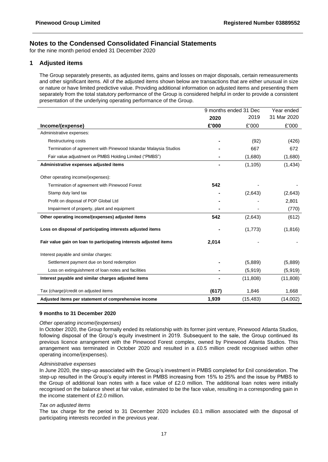for the nine month period ended 31 December 2020

## **1 Adjusted items**

The Group separately presents, as adjusted items, gains and losses on major disposals, certain remeasurements and other significant items. All of the adjusted items shown below are transactions that are either unusual in size or nature or have limited predictive value. Providing additional information on adjusted items and presenting them separately from the total statutory performance of the Group is considered helpful in order to provide a consistent presentation of the underlying operating performance of the Group.

|                                                                   | 9 months ended 31 Dec |           | Year ended  |
|-------------------------------------------------------------------|-----------------------|-----------|-------------|
|                                                                   | 2020                  | 2019      | 31 Mar 2020 |
| Income/(expense)                                                  | £'000                 | £'000     | £'000       |
| Administrative expenses:                                          |                       |           |             |
| <b>Restructuring costs</b>                                        |                       | (92)      | (426)       |
| Termination of agreement with Pinewood Iskandar Malaysia Studios  |                       | 667       | 672         |
| Fair value adjustment on PMBS Holding Limited ("PMBS")            |                       | (1,680)   | (1,680)     |
| Administrative expenses adjusted items                            |                       | (1, 105)  | (1, 434)    |
| Other operating income/(expenses):                                |                       |           |             |
| Termination of agreement with Pinewood Forest                     | 542                   |           |             |
| Stamp duty land tax                                               |                       | (2,643)   | (2,643)     |
| Profit on disposal of POP Global Ltd                              |                       |           | 2,801       |
| Impairment of property, plant and equipment                       |                       |           | (770)       |
| Other operating income/(expenses) adjusted items                  | 542                   | (2,643)   | (612)       |
| Loss on disposal of participating interests adjusted items        |                       | (1,773)   | (1, 816)    |
| Fair value gain on loan to participating interests adjusted items | 2,014                 |           |             |
| Interest payable and similar charges:                             |                       |           |             |
| Settlement payment due on bond redemption                         |                       | (5,889)   | (5,889)     |
| Loss on extinguishment of loan notes and facilities               |                       | (5,919)   | (5,919)     |
| Interest payable and similar charges adjusted items               |                       | (11, 808) | (11,808)    |
| Tax (charge)/credit on adjusted items                             | (617)                 | 1,846     | 1,668       |
| Adjusted items per statement of comprehensive income              | 1,939                 | (15, 483) | (14,002)    |

#### **9 months to 31 December 2020**

#### *Other operating income/(expenses)*

In October 2020, the Group formally ended its relationship with its former joint venture, Pinewood Atlanta Studios, following disposal of the Group's equity investment in 2019. Subsequent to the sale, the Group continued its previous licence arrangement with the Pinewood Forest complex, owned by Pinewood Atlanta Studios. This arrangement was terminated in October 2020 and resulted in a £0.5 million credit recognised within other operating income/(expenses).

#### *Administrative expenses*

In June 2020, the step-up associated with the Group's investment in PMBS completed for £nil consideration. The step-up resulted in the Group's equity interest in PMBS increasing from 15% to 25% and the issue by PMBS to the Group of additional loan notes with a face value of £2.0 million. The additional loan notes were initially recognised on the balance sheet at fair value, estimated to be the face value, resulting in a corresponding gain in the income statement of £2.0 million.

#### *Tax on adjusted items*

The tax charge for the period to 31 December 2020 includes £0.1 million associated with the disposal of participating interests recorded in the previous year.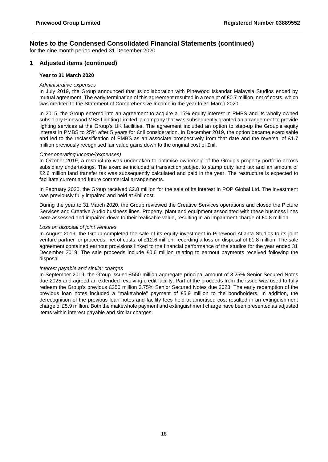for the nine month period ended 31 December 2020

## **1 Adjusted items (continued)**

#### **Year to 31 March 2020**

#### *Administrative expenses*

In July 2019, the Group announced that its collaboration with Pinewood Iskandar Malaysia Studios ended by mutual agreement. The early termination of this agreement resulted in a receipt of £0.7 million, net of costs, which was credited to the Statement of Comprehensive Income in the year to 31 March 2020.

In 2015, the Group entered into an agreement to acquire a 15% equity interest in PMBS and its wholly owned subsidiary Pinewood MBS Lighting Limited, a company that was subsequently granted an arrangement to provide lighting services at the Group's UK facilities. The agreement included an option to step-up the Group's equity interest in PMBS to 25% after 5 years for £nil consideration. In December 2019, the option became exercisable and led to the reclassification of PMBS as an associate prospectively from that date and the reversal of £1.7 million previously recognised fair value gains down to the original cost of £nil.

#### *Other operating income/(expenses)*

In October 2019, a restructure was undertaken to optimise ownership of the Group's property portfolio across subsidiary undertakings. The exercise included a transaction subject to stamp duty land tax and an amount of £2.6 million land transfer tax was subsequently calculated and paid in the year. The restructure is expected to facilitate current and future commercial arrangements.

In February 2020, the Group received £2.8 million for the sale of its interest in POP Global Ltd. The investment was previously fully impaired and held at £nil cost.

During the year to 31 March 2020, the Group reviewed the Creative Services operations and closed the Picture Services and Creative Audio business lines. Property, plant and equipment associated with these business lines were assessed and impaired down to their realisable value, resulting in an impairment charge of £0.8 million.

#### *Loss on disposal of joint ventures*

In August 2019, the Group completed the sale of its equity investment in Pinewood Atlanta Studios to its joint venture partner for proceeds, net of costs, of £12.6 million, recording a loss on disposal of £1.8 million. The sale agreement contained earnout provisions linked to the financial performance of the studios for the year ended 31 December 2019. The sale proceeds include £0.6 million relating to earnout payments received following the disposal.

#### *Interest payable and similar charges*

In September 2019, the Group issued £550 million aggregate principal amount of 3.25% Senior Secured Notes due 2025 and agreed an extended revolving credit facility. Part of the proceeds from the issue was used to fully redeem the Group's previous £250 million 3.75% Senior Secured Notes due 2023. The early redemption of the previous loan notes included a "makewhole" payment of £5.9 million to the bondholders. In addition, the derecognition of the previous loan notes and facility fees held at amortised cost resulted in an extinguishment charge of £5.9 million. Both the makewhole payment and extinguishment charge have been presented as adjusted items within interest payable and similar charges.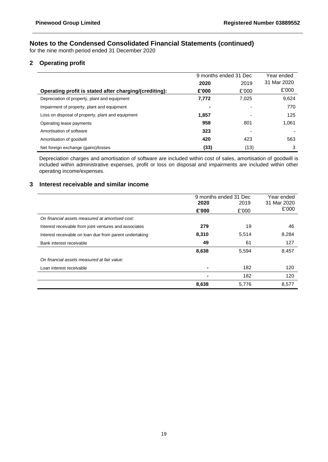for the nine month period ended 31 December 2020

## **2 Operating profit**

|                                                        | 9 months ended 31 Dec |       | Year ended  |
|--------------------------------------------------------|-----------------------|-------|-------------|
|                                                        | 2020                  | 2019  | 31 Mar 2020 |
| Operating profit is stated after charging/(crediting): | £'000                 | £'000 | £'000       |
| Depreciation of property, plant and equipment          | 7,772                 | 7,025 | 9,624       |
| Impairment of property, plant and equipment            | -                     |       | 770         |
| Loss on disposal of property, plant and equipment      | 1.857                 |       | 125         |
| Operating lease payments                               | 958                   | 801   | 1,061       |
| Amortisation of software                               | 323                   |       |             |
| Amortisation of goodwill                               | 420                   | 423   | 563         |
| Net foreign exchange (gains)/losses                    | (33)                  | (13)  | 3           |

Depreciation charges and amortisation of software are included within cost of sales, amortisation of goodwill is included within administrative expenses, profit or loss on disposal and impairments are included within other operating income/expenses.

## **3 Interest receivable and similar income**

|                                                         |                | 9 months ended 31 Dec | Year ended  |  |
|---------------------------------------------------------|----------------|-----------------------|-------------|--|
|                                                         | 2020           | 2019                  | 31 Mar 2020 |  |
|                                                         | £'000          | £'000                 | £'000       |  |
| On financial assets measured at amortised cost:         |                |                       |             |  |
| Interest receivable from joint ventures and associates  | 279            | 19                    | 46          |  |
| Interest receivable on loan due from parent undertaking | 8,310          | 5,514                 | 8,284       |  |
| Bank interest receivable                                | 49             | 61                    | 127         |  |
|                                                         | 8,638          | 5,594                 | 8,457       |  |
| On financial assets measured at fair value:             |                |                       |             |  |
| Loan interest receivable                                | $\blacksquare$ | 182                   | 120         |  |
|                                                         |                | 182                   | 120         |  |
|                                                         | 8,638          | 5,776                 | 8,577       |  |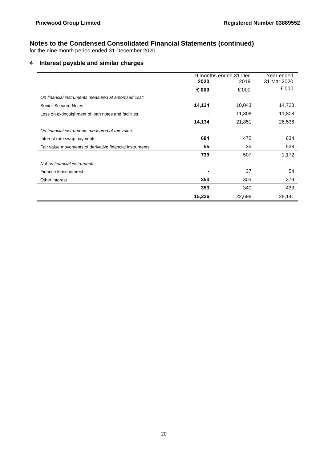for the nine month period ended 31 December 2020

## **4 Interest payable and similar charges**

|                                                          |        | 9 months ended 31 Dec | Year ended  |
|----------------------------------------------------------|--------|-----------------------|-------------|
|                                                          | 2020   | 2019                  | 31 Mar 2020 |
|                                                          | £'000  | £'000                 | £'000       |
| On financial instruments measured at amortised cost:     |        |                       |             |
| <b>Senior Secured Notes</b>                              | 14,134 | 10,043                | 14,728      |
| Loss on extinguishment of loan notes and facilities      | ۰      | 11,808                | 11,808      |
|                                                          | 14,134 | 21,851                | 26,536      |
| On financial instruments measured at fair value:         |        |                       |             |
| Interest rate swap payments                              | 684    | 472                   | 634         |
| Fair value movements of derivative financial instruments | 55     | 35                    | 538         |
|                                                          | 739    | 507                   | 1,172       |
| Not on financial instruments:                            |        |                       |             |
| Finance lease interest                                   |        | 37                    | 54          |
| Other interest                                           | 353    | 303                   | 379         |
|                                                          | 353    | 340                   | 433         |
|                                                          | 15,226 | 22,698                | 28,141      |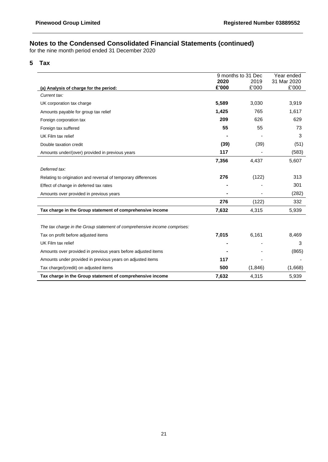for the nine month period ended 31 December 2020

## **5 Tax**

|                                                                          |       | 9 months to 31 Dec | Year ended  |
|--------------------------------------------------------------------------|-------|--------------------|-------------|
|                                                                          | 2020  | 2019               | 31 Mar 2020 |
| (a) Analysis of charge for the period:                                   | £'000 | £'000              | £'000       |
| Current tax:                                                             |       |                    |             |
| UK corporation tax charge                                                | 5,589 | 3,030              | 3,919       |
| Amounts payable for group tax relief                                     | 1,425 | 765                | 1,617       |
| Foreign corporation tax                                                  | 209   | 626                | 629         |
| Foreign tax suffered                                                     | 55    | 55                 | 73          |
| UK Film tax relief                                                       |       |                    | 3           |
| Double taxation credit                                                   | (39)  | (39)               | (51)        |
| Amounts under/(over) provided in previous years                          | 117   |                    | (583)       |
|                                                                          | 7,356 | 4,437              | 5,607       |
| Deferred tax:                                                            |       |                    |             |
| Relating to origination and reversal of temporary differences            | 276   | (122)              | 313         |
| Effect of change in deferred tax rates                                   |       |                    | 301         |
| Amounts over provided in previous years                                  |       |                    | (282)       |
|                                                                          | 276   | (122)              | 332         |
| Tax charge in the Group statement of comprehensive income                | 7,632 | 4,315              | 5,939       |
|                                                                          |       |                    |             |
| The tax charge in the Group statement of comprehensive income comprises: |       |                    |             |
| Tax on profit before adjusted items                                      | 7,015 | 6,161              | 8,469       |
| UK Film tax relief                                                       |       |                    | 3           |
| Amounts over provided in previous years before adjusted items            |       |                    | (865)       |
| Amounts under provided in previous years on adjusted items               | 117   |                    |             |
| Tax charge/(credit) on adjusted items                                    | 500   | (1,846)            | (1,668)     |
| Tax charge in the Group statement of comprehensive income                | 7,632 | 4,315              | 5,939       |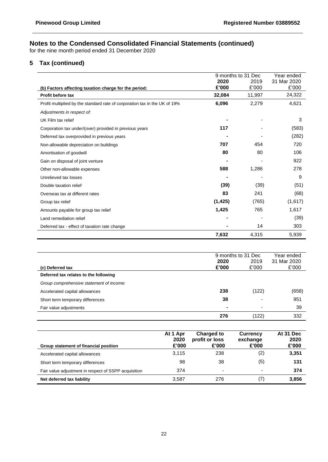for the nine month period ended 31 December 2020

## **5 Tax (continued)**

|                                                                            |          | 9 months to 31 Dec | Year ended  |
|----------------------------------------------------------------------------|----------|--------------------|-------------|
|                                                                            | 2020     | 2019               | 31 Mar 2020 |
| (b) Factors affecting taxation charge for the period:                      | £'000    | £'000              | £'000       |
| Profit before tax                                                          | 32,084   | 11,997             | 24,322      |
| Profit multiplied by the standard rate of corporation tax in the UK of 19% | 6,096    | 2,279              | 4,621       |
| Adjustments in respect of:                                                 |          |                    |             |
| UK Film tax relief                                                         |          |                    | 3           |
| Corporation tax under/(over) provided in previous years                    | 117      |                    | (583)       |
| Deferred tax overprovided in previous years                                |          |                    | (282)       |
| Non-allowable depreciation on buildings                                    | 707      | 454                | 720         |
| Amortisation of goodwill                                                   | 80       | 80                 | 106         |
| Gain on disposal of joint venture                                          |          |                    | 922         |
| Other non-allowable expenses                                               | 588      | 1,286              | 278         |
| Unrelieved tax losses                                                      |          |                    | 9           |
| Double taxation relief                                                     | (39)     | (39)               | (51)        |
| Overseas tax at different rates                                            | 83       | 241                | (68)        |
| Group tax relief                                                           | (1, 425) | (765)              | (1,617)     |
| Amounts payable for group tax relief                                       | 1,425    | 765                | 1,617       |
| Land remediation relief                                                    |          |                    | (39)        |
| Deferred tax - effect of taxation rate change                              |          | 14                 | 303         |
|                                                                            | 7,632    | 4,315              | 5,939       |

|                                          | 9 months to 31 Dec |       | Year ended  |
|------------------------------------------|--------------------|-------|-------------|
|                                          | 2020               | 2019  | 31 Mar 2020 |
| (c) Deferred tax                         | £'000              | £'000 | £'000       |
| Deferred tax relates to the following    |                    |       |             |
| Group comprehensive statement of income: |                    |       |             |
| Accelerated capital allowances           | 238                | (122) | (658)       |
| Short term temporary differences         | 38                 |       | 951         |
| Fair value adjustments                   | ۰                  |       | 39          |
|                                          | 276                | (122) | 332         |

| Group statement of financial position                | At 1 Apr<br>2020<br>£'000 | <b>Charged to</b><br>profit or loss<br>£'000 | <b>Currency</b><br>exchange<br>£'000 | At 31 Dec<br>2020<br>£'000 |
|------------------------------------------------------|---------------------------|----------------------------------------------|--------------------------------------|----------------------------|
| Accelerated capital allowances                       | 3,115                     | 238                                          | (2)                                  | 3,351                      |
| Short term temporary differences                     | 98                        | 38                                           | (5)                                  | 131                        |
| Fair value adjustment in respect of SSPP acquisition | 374                       | $\overline{\phantom{0}}$                     | $\overline{\phantom{a}}$             | 374                        |
| Net deferred tax liability                           | 3.587                     | 276                                          | (7                                   | 3,856                      |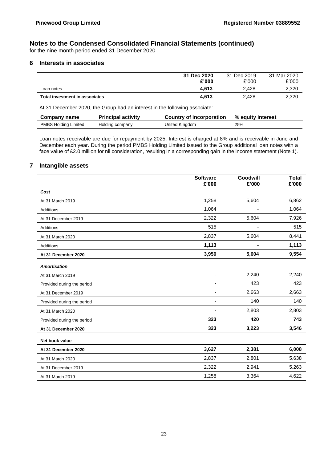for the nine month period ended 31 December 2020

## **6 Interests in associates**

|                                | 31 Dec 2020<br>£'000 | 31 Dec 2019<br>£'000 | 31 Mar 2020<br>£'000 |
|--------------------------------|----------------------|----------------------|----------------------|
| Loan notes                     | 4.613                | 2.428                | 2,320                |
| Total investment in associates | 4,613                | 2.428                | 2,320                |

At 31 December 2020, the Group had an interest in the following associate:

| Company name         | <b>Principal activity</b> | Country of incorporation | % equity interest |
|----------------------|---------------------------|--------------------------|-------------------|
| PMBS Holding Limited | Holding company           | United Kingdom           | 25%               |

Loan notes receivable are due for repayment by 2025. Interest is charged at 8% and is receivable in June and December each year. During the period PMBS Holding Limited issued to the Group additional loan notes with a face value of £2.0 million for nil consideration, resulting in a corresponding gain in the income statement (Note 1).

## **7 Intangible assets**

|                            | <b>Software</b><br>£'000 | Goodwill<br>£'000 | <b>Total</b><br>£'000 |
|----------------------------|--------------------------|-------------------|-----------------------|
| Cost                       |                          |                   |                       |
| At 31 March 2019           | 1,258                    | 5,604             | 6,862                 |
| <b>Additions</b>           | 1,064                    |                   | 1,064                 |
| At 31 December 2019        | 2,322                    | 5,604             | 7,926                 |
| <b>Additions</b>           | 515                      |                   | 515                   |
| At 31 March 2020           | 2,837                    | 5,604             | 8,441                 |
| Additions                  | 1,113                    |                   | 1,113                 |
| At 31 December 2020        | 3,950                    | 5,604             | 9,554                 |
| <b>Amortisation</b>        |                          |                   |                       |
| At 31 March 2019           |                          | 2,240             | 2,240                 |
| Provided during the period |                          | 423               | 423                   |
| At 31 December 2019        | $\overline{\phantom{a}}$ | 2,663             | 2,663                 |
| Provided during the period | ٠                        | 140               | 140                   |
| At 31 March 2020           |                          | 2,803             | 2,803                 |
| Provided during the period | 323                      | 420               | 743                   |
| At 31 December 2020        | 323                      | 3,223             | 3,546                 |
| Net book value             |                          |                   |                       |
| At 31 December 2020        | 3,627                    | 2,381             | 6,008                 |
| At 31 March 2020           | 2,837                    | 2,801             | 5,638                 |
| At 31 December 2019        | 2,322                    | 2,941             | 5,263                 |
| At 31 March 2019           | 1,258                    | 3,364             | 4,622                 |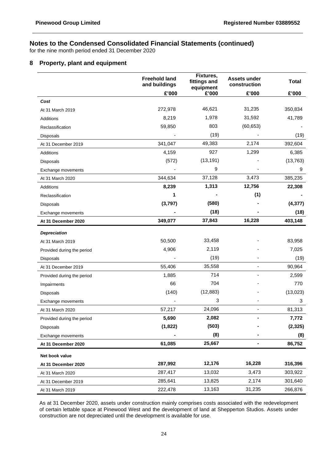for the nine month period ended 31 December 2020

## **8 Property, plant and equipment**

|                            | <b>Freehold land</b><br>and buildings | Fixtures,<br>fittings and<br>equipment | Assets under<br>construction | <b>Total</b> |
|----------------------------|---------------------------------------|----------------------------------------|------------------------------|--------------|
|                            | £'000                                 | £'000                                  | £'000                        | £'000        |
| Cost                       |                                       |                                        |                              |              |
| At 31 March 2019           | 272,978                               | 46,621                                 | 31,235                       | 350,834      |
| Additions                  | 8,219                                 | 1,978                                  | 31,592                       | 41,789       |
| Reclassification           | 59,850                                | 803                                    | (60, 653)                    |              |
| Disposals                  |                                       | (19)                                   |                              | (19)         |
| At 31 December 2019        | 341,047                               | 49,383                                 | 2,174                        | 392,604      |
| Additions                  | 4,159                                 | 927                                    | 1,299                        | 6,385        |
| Disposals                  | (572)                                 | (13, 191)                              |                              | (13, 763)    |
| Exchange movements         |                                       | 9                                      |                              | 9            |
| At 31 March 2020           | 344,634                               | 37,128                                 | 3,473                        | 385,235      |
| Additions                  | 8,239                                 | 1,313                                  | 12,756                       | 22,308       |
| Reclassification           | 1                                     |                                        | (1)                          |              |
| Disposals                  | (3,797)                               | (580)                                  |                              | (4, 377)     |
| Exchange movements         |                                       | (18)                                   |                              | (18)         |
| At 31 December 2020        | 349,077                               | 37,843                                 | 16,228                       | 403,148      |
| <b>Depreciation</b>        |                                       |                                        |                              |              |
| At 31 March 2019           | 50,500                                | 33,458                                 |                              | 83,958       |
| Provided during the period | 4,906                                 | 2,119                                  |                              | 7,025        |
| <b>Disposals</b>           |                                       | (19)                                   |                              | (19)         |
| At 31 December 2019        | 55,406                                | 35,558                                 |                              | 90,964       |
| Provided during the period | 1,885                                 | 714                                    |                              | 2,599        |
| Impairments                | 66                                    | 704                                    |                              | 770          |
| Disposals                  | (140)                                 | (12, 883)                              |                              | (13, 023)    |
| Exchange movements         |                                       | 3                                      |                              | 3            |
| At 31 March 2020           | 57,217                                | 24,096                                 |                              | 81,313       |
| Provided during the period | 5,690                                 | 2,082                                  | ٠                            | 7,772        |
| <b>Disposals</b>           | (1,822)                               | (503)                                  |                              | (2, 325)     |
| Exchange movements         |                                       | (8)                                    |                              | (8)          |
| At 31 December 2020        | 61,085                                | 25,667                                 |                              | 86,752       |
| Net book value             |                                       |                                        |                              |              |
| At 31 December 2020        | 287,992                               | 12,176                                 | 16,228                       | 316,396      |
| At 31 March 2020           | 287,417                               | 13,032                                 | 3,473                        | 303,922      |
| At 31 December 2019        | 285,641                               | 13,825                                 | 2,174                        | 301,640      |
| At 31 March 2019           | 222,478                               | 13,163                                 | 31,235                       | 266,876      |

As at 31 December 2020, assets under construction mainly comprises costs associated with the redevelopment of certain lettable space at Pinewood West and the development of land at Shepperton Studios. Assets under construction are not depreciated until the development is available for use.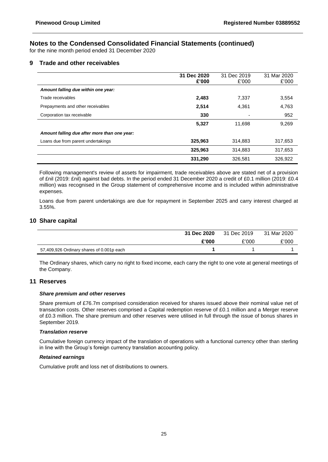for the nine month period ended 31 December 2020

## **9 Trade and other receivables**

|                                              | 31 Dec 2020<br>£'000 | 31 Dec 2019<br>£'000 | 31 Mar 2020<br>£'000 |
|----------------------------------------------|----------------------|----------------------|----------------------|
| Amount falling due within one year:          |                      |                      |                      |
| Trade receivables                            | 2,483                | 7,337                | 3,554                |
| Prepayments and other receivables            | 2,514                | 4,361                | 4,763                |
| Corporation tax receivable                   | 330                  |                      | 952                  |
|                                              | 5,327                | 11.698               | 9,269                |
| Amount falling due after more than one year: |                      |                      |                      |
| Loans due from parent undertakings           | 325,963              | 314,883              | 317,653              |
|                                              | 325,963              | 314.883              | 317,653              |
|                                              | 331,290              | 326,581              | 326,922              |

Following management's review of assets for impairment, trade receivables above are stated net of a provision of £nil (2019: £nil) against bad debts. In the period ended 31 December 2020 a credit of £0.1 million (2019: £0.4 million) was recognised in the Group statement of comprehensive income and is included within administrative expenses.

Loans due from parent undertakings are due for repayment in September 2025 and carry interest charged at 3.55%.

## **10 Share capital**

|                                           | 31 Dec 2020 | 31 Dec 2019 | 31 Mar 2020 |
|-------------------------------------------|-------------|-------------|-------------|
|                                           | £'000       | £'000       | £'000       |
| 57,409,926 Ordinary shares of 0.001p each |             |             |             |

The Ordinary shares, which carry no right to fixed income, each carry the right to one vote at general meetings of the Company.

## **11 Reserves**

#### *Share premium and other reserves*

Share premium of £76.7m comprised consideration received for shares issued above their nominal value net of transaction costs. Other reserves comprised a Capital redemption reserve of £0.1 million and a Merger reserve of £0.3 million. The share premium and other reserves were utilised in full through the issue of bonus shares in September 2019.

#### *Translation reserve*

Cumulative foreign currency impact of the translation of operations with a functional currency other than sterling in line with the Group's foreign currency translation accounting policy.

#### *Retained earnings*

Cumulative profit and loss net of distributions to owners.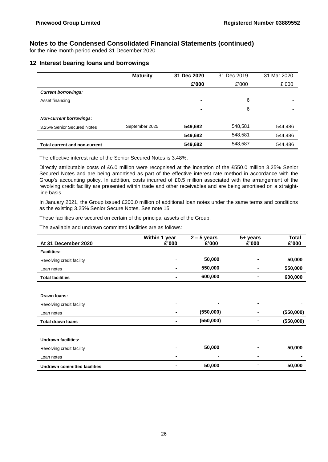for the nine month period ended 31 December 2020

## **12 Interest bearing loans and borrowings**

|                                      | <b>Maturity</b> | 31 Dec 2020 | 31 Dec 2019 | 31 Mar 2020              |
|--------------------------------------|-----------------|-------------|-------------|--------------------------|
|                                      |                 | £'000       | £'000       | £'000                    |
| <b>Current borrowings:</b>           |                 |             |             |                          |
| Asset financing                      |                 | -           | 6           | $\overline{\phantom{0}}$ |
|                                      |                 | -           | 6           | $\overline{\phantom{0}}$ |
| <b>Non-current borrowings:</b>       |                 |             |             |                          |
| 3.25% Senior Secured Notes           | September 2025  | 549,682     | 548,581     | 544,486                  |
|                                      |                 | 549,682     | 548,581     | 544,486                  |
| <b>Total current and non-current</b> |                 | 549,682     | 548,587     | 544.486                  |

The effective interest rate of the Senior Secured Notes is 3.48%.

Directly attributable costs of £6.0 million were recognised at the inception of the £550.0 million 3.25% Senior Secured Notes and are being amortised as part of the effective interest rate method in accordance with the Group's accounting policy. In addition, costs incurred of £0.5 million associated with the arrangement of the revolving credit facility are presented within trade and other receivables and are being amortised on a straightline basis.

In January 2021, the Group issued £200.0 million of additional loan notes under the same terms and conditions as the existing 3.25% Senior Secure Notes. See note 15.

These facilities are secured on certain of the principal assets of the Group.

The available and undrawn committed facilities are as follows:

| At 31 December 2020                 | Within 1 year<br>£'000 | $2 - 5$ years<br>£'000 | 5+ years<br>£'000 | <b>Total</b><br>£'000 |
|-------------------------------------|------------------------|------------------------|-------------------|-----------------------|
| <b>Facilities:</b>                  |                        |                        |                   |                       |
| Revolving credit facility           |                        | 50,000                 |                   | 50,000                |
| Loan notes                          |                        | 550,000                |                   | 550,000               |
| <b>Total facilities</b>             |                        | 600,000                |                   | 600,000               |
|                                     |                        |                        |                   |                       |
| Drawn Ioans:                        |                        |                        |                   |                       |
| Revolving credit facility           |                        | ۰                      |                   |                       |
| Loan notes                          |                        | (550,000)              |                   | (550,000)             |
| <b>Total drawn loans</b>            |                        | (550,000)              |                   | (550,000)             |
|                                     |                        |                        |                   |                       |
| <b>Undrawn facilities:</b>          |                        |                        |                   |                       |
| Revolving credit facility           |                        | 50,000                 |                   | 50,000                |
| Loan notes                          |                        | $\blacksquare$         |                   |                       |
| <b>Undrawn committed facilities</b> |                        | 50,000                 |                   | 50,000                |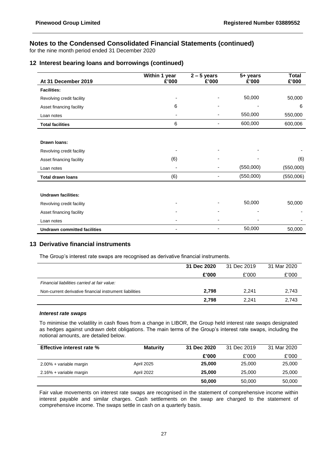for the nine month period ended 31 December 2020

## **12 Interest bearing loans and borrowings (continued)**

| At 31 December 2019                 | Within 1 year<br>£'000   | $2 - 5$ years<br>£'000 | 5+ years<br>£'000 | <b>Total</b><br>£'000 |
|-------------------------------------|--------------------------|------------------------|-------------------|-----------------------|
| <b>Facilities:</b>                  |                          |                        |                   |                       |
| Revolving credit facility           |                          |                        | 50,000            | 50,000                |
| Asset financing facility            | 6                        |                        |                   | 6                     |
| Loan notes                          | $\overline{\phantom{0}}$ |                        | 550,000           | 550,000               |
| <b>Total facilities</b>             | 6                        |                        | 600,000           | 600,006               |
|                                     |                          |                        |                   |                       |
| Drawn Ioans:                        |                          |                        |                   |                       |
| Revolving credit facility           |                          |                        |                   |                       |
| Asset financing facility            | (6)                      |                        |                   | (6)                   |
| Loan notes                          |                          |                        | (550,000)         | (550,000)             |
| <b>Total drawn loans</b>            | (6)                      |                        | (550,000)         | (550,006)             |
| <b>Undrawn facilities:</b>          |                          |                        |                   |                       |
|                                     |                          |                        | 50,000            |                       |
| Revolving credit facility           |                          |                        |                   | 50,000                |
| Asset financing facility            |                          |                        |                   |                       |
| Loan notes                          |                          |                        |                   |                       |
| <b>Undrawn committed facilities</b> |                          |                        | 50,000            | 50,000                |

## **13 Derivative financial instruments**

The Group's interest rate swaps are recognised as derivative financial instruments.

|                                                         | 31 Dec 2020 | 31 Dec 2019 | 31 Mar 2020 |
|---------------------------------------------------------|-------------|-------------|-------------|
|                                                         | £'000       | £'000       | £'000       |
| Financial liabilities carried at fair value:            |             |             |             |
| Non-current derivative financial instrument liabilities | 2.798       | 2.241       | 2,743       |
|                                                         | 2.798       | 2.241       | 2.743       |

#### *Interest rate swaps*

To minimise the volatility in cash flows from a change in LIBOR, the Group held interest rate swaps designated as hedges against undrawn debt obligations. The main terms of the Group's interest rate swaps, including the notional amounts, are detailed below.

| <b>Effective interest rate %</b> | <b>Maturity</b> | 31 Dec 2020 | 31 Dec 2019 | 31 Mar 2020 |
|----------------------------------|-----------------|-------------|-------------|-------------|
|                                  |                 | £'000       | £'000       | £'000       |
| 2.00% + variable margin          | April 2025      | 25,000      | 25,000      | 25,000      |
| 2.16% + variable margin          | April 2022      | 25,000      | 25,000      | 25,000      |
|                                  |                 | 50,000      | 50,000      | 50,000      |

Fair value movements on interest rate swaps are recognised in the statement of comprehensive income within interest payable and similar charges. Cash settlements on the swap are charged to the statement of comprehensive income. The swaps settle in cash on a quarterly basis.